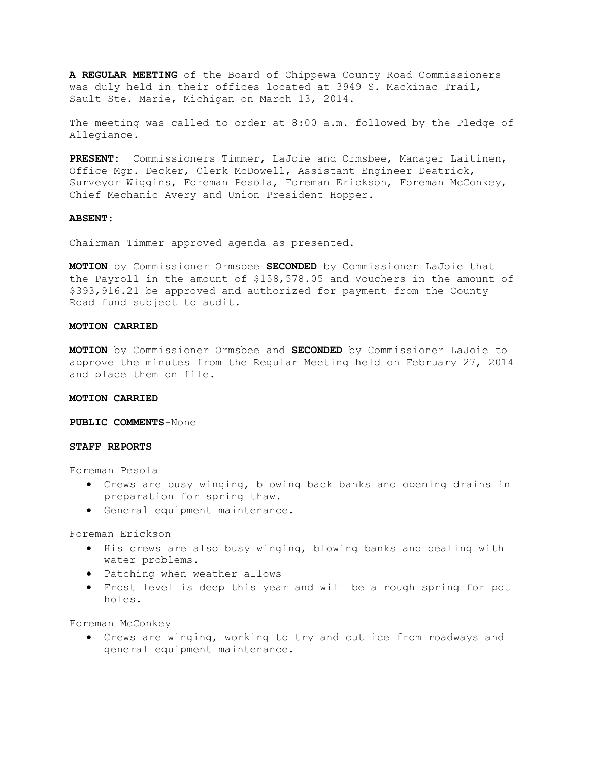**A REGULAR MEETING** of the Board of Chippewa County Road Commissioners was duly held in their offices located at 3949 S. Mackinac Trail, Sault Ste. Marie, Michigan on March 13, 2014.

The meeting was called to order at 8:00 a.m. followed by the Pledge of Allegiance.

**PRESENT:** Commissioners Timmer, LaJoie and Ormsbee, Manager Laitinen, Office Mgr. Decker, Clerk McDowell, Assistant Engineer Deatrick, Surveyor Wiggins, Foreman Pesola, Foreman Erickson, Foreman McConkey, Chief Mechanic Avery and Union President Hopper.

#### **ABSENT:**

Chairman Timmer approved agenda as presented.

**MOTION** by Commissioner Ormsbee **SECONDED** by Commissioner LaJoie that the Payroll in the amount of \$158,578.05 and Vouchers in the amount of \$393,916.21 be approved and authorized for payment from the County Road fund subject to audit.

#### **MOTION CARRIED**

**MOTION** by Commissioner Ormsbee and **SECONDED** by Commissioner LaJoie to approve the minutes from the Regular Meeting held on February 27, 2014 and place them on file.

## **MOTION CARRIED**

**PUBLIC COMMENTS**-None

## **STAFF REPORTS**

Foreman Pesola

- · Crews are busy winging, blowing back banks and opening drains in preparation for spring thaw.
- · General equipment maintenance.

Foreman Erickson

- · His crews are also busy winging, blowing banks and dealing with water problems.
- · Patching when weather allows
- · Frost level is deep this year and will be a rough spring for pot holes.

Foreman McConkey

· Crews are winging, working to try and cut ice from roadways and general equipment maintenance.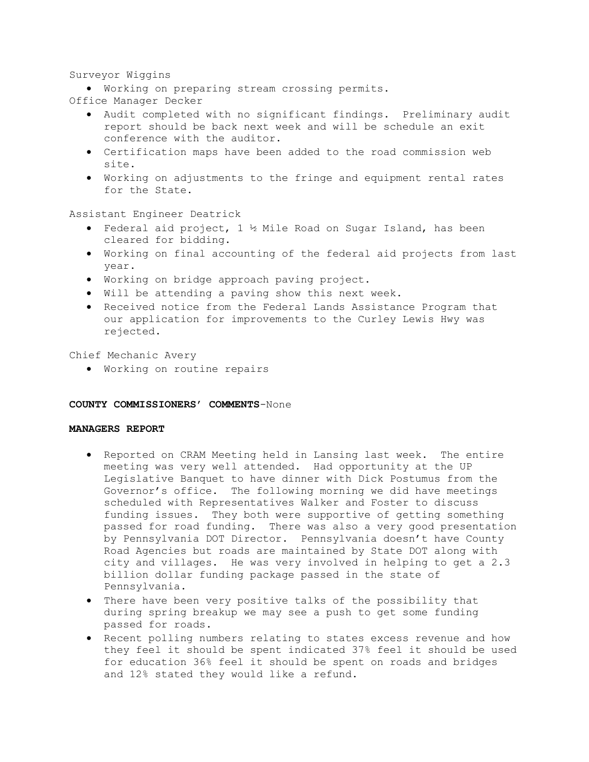# Surveyor Wiggins

· Working on preparing stream crossing permits.

- Office Manager Decker
	- · Audit completed with no significant findings. Preliminary audit report should be back next week and will be schedule an exit conference with the auditor.
	- · Certification maps have been added to the road commission web site.
	- · Working on adjustments to the fringe and equipment rental rates for the State.

Assistant Engineer Deatrick

- · Federal aid project, 1 ½ Mile Road on Sugar Island, has been cleared for bidding.
- · Working on final accounting of the federal aid projects from last year.
- · Working on bridge approach paving project.
- · Will be attending a paving show this next week.
- · Received notice from the Federal Lands Assistance Program that our application for improvements to the Curley Lewis Hwy was rejected.

Chief Mechanic Avery

· Working on routine repairs

#### **COUNTY COMMISSIONERS' COMMENTS**-None

## **MANAGERS REPORT**

- · Reported on CRAM Meeting held in Lansing last week. The entire meeting was very well attended. Had opportunity at the UP Legislative Banquet to have dinner with Dick Postumus from the Governor's office. The following morning we did have meetings scheduled with Representatives Walker and Foster to discuss funding issues. They both were supportive of getting something passed for road funding. There was also a very good presentation by Pennsylvania DOT Director. Pennsylvania doesn't have County Road Agencies but roads are maintained by State DOT along with city and villages. He was very involved in helping to get a 2.3 billion dollar funding package passed in the state of Pennsylvania.
- · There have been very positive talks of the possibility that during spring breakup we may see a push to get some funding passed for roads.
- · Recent polling numbers relating to states excess revenue and how they feel it should be spent indicated 37% feel it should be used for education 36% feel it should be spent on roads and bridges and 12% stated they would like a refund.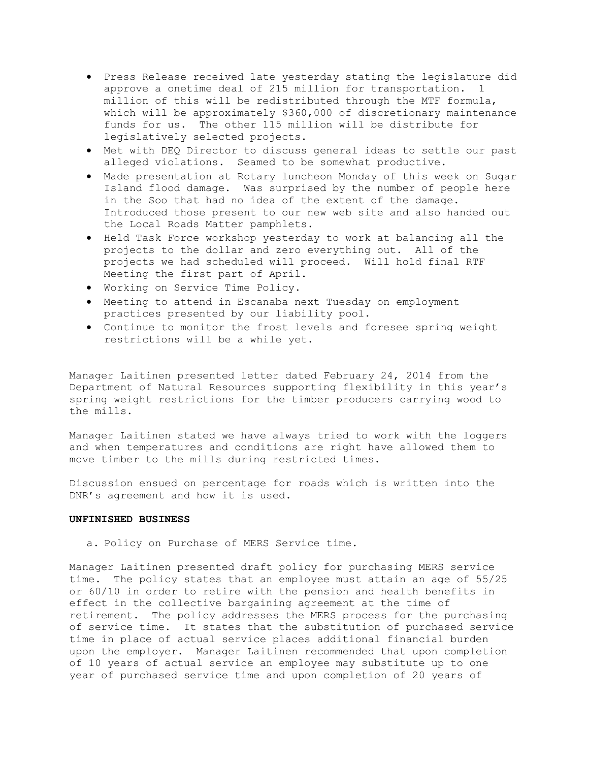- · Press Release received late yesterday stating the legislature did approve a onetime deal of 215 million for transportation. 1 million of this will be redistributed through the MTF formula, which will be approximately \$360,000 of discretionary maintenance funds for us. The other 115 million will be distribute for legislatively selected projects.
- · Met with DEQ Director to discuss general ideas to settle our past alleged violations. Seamed to be somewhat productive.
- · Made presentation at Rotary luncheon Monday of this week on Sugar Island flood damage. Was surprised by the number of people here in the Soo that had no idea of the extent of the damage. Introduced those present to our new web site and also handed out the Local Roads Matter pamphlets.
- · Held Task Force workshop yesterday to work at balancing all the projects to the dollar and zero everything out. All of the projects we had scheduled will proceed. Will hold final RTF Meeting the first part of April.
- · Working on Service Time Policy.
- · Meeting to attend in Escanaba next Tuesday on employment practices presented by our liability pool.
- · Continue to monitor the frost levels and foresee spring weight restrictions will be a while yet.

Manager Laitinen presented letter dated February 24, 2014 from the Department of Natural Resources supporting flexibility in this year's spring weight restrictions for the timber producers carrying wood to the mills.

Manager Laitinen stated we have always tried to work with the loggers and when temperatures and conditions are right have allowed them to move timber to the mills during restricted times.

Discussion ensued on percentage for roads which is written into the DNR's agreement and how it is used.

#### **UNFINISHED BUSINESS**

a. Policy on Purchase of MERS Service time.

Manager Laitinen presented draft policy for purchasing MERS service time. The policy states that an employee must attain an age of 55/25 or 60/10 in order to retire with the pension and health benefits in effect in the collective bargaining agreement at the time of retirement. The policy addresses the MERS process for the purchasing of service time. It states that the substitution of purchased service time in place of actual service places additional financial burden upon the employer. Manager Laitinen recommended that upon completion of 10 years of actual service an employee may substitute up to one year of purchased service time and upon completion of 20 years of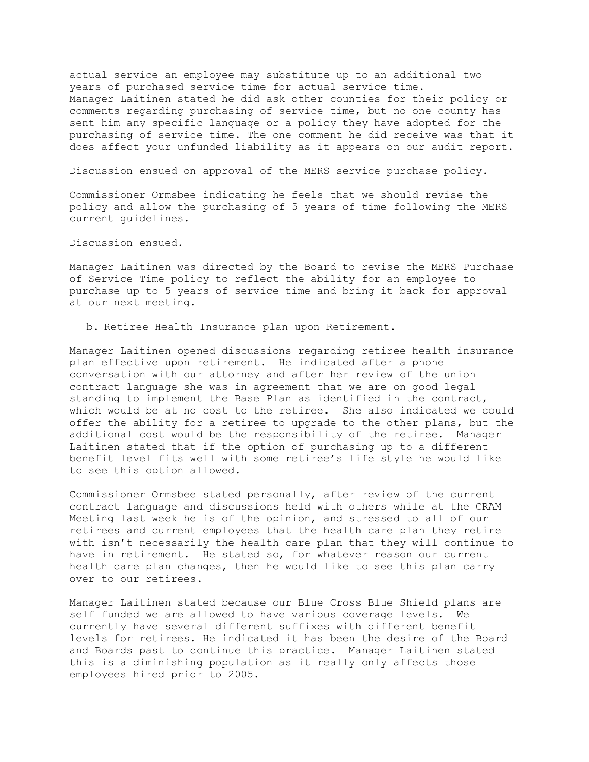actual service an employee may substitute up to an additional two years of purchased service time for actual service time. Manager Laitinen stated he did ask other counties for their policy or comments regarding purchasing of service time, but no one county has sent him any specific language or a policy they have adopted for the purchasing of service time. The one comment he did receive was that it does affect your unfunded liability as it appears on our audit report.

Discussion ensued on approval of the MERS service purchase policy.

Commissioner Ormsbee indicating he feels that we should revise the policy and allow the purchasing of 5 years of time following the MERS current guidelines.

Discussion ensued.

Manager Laitinen was directed by the Board to revise the MERS Purchase of Service Time policy to reflect the ability for an employee to purchase up to 5 years of service time and bring it back for approval at our next meeting.

b. Retiree Health Insurance plan upon Retirement.

Manager Laitinen opened discussions regarding retiree health insurance plan effective upon retirement. He indicated after a phone conversation with our attorney and after her review of the union contract language she was in agreement that we are on good legal standing to implement the Base Plan as identified in the contract, which would be at no cost to the retiree. She also indicated we could offer the ability for a retiree to upgrade to the other plans, but the additional cost would be the responsibility of the retiree. Manager Laitinen stated that if the option of purchasing up to a different benefit level fits well with some retiree's life style he would like to see this option allowed.

Commissioner Ormsbee stated personally, after review of the current contract language and discussions held with others while at the CRAM Meeting last week he is of the opinion, and stressed to all of our retirees and current employees that the health care plan they retire with isn't necessarily the health care plan that they will continue to have in retirement. He stated so, for whatever reason our current health care plan changes, then he would like to see this plan carry over to our retirees.

Manager Laitinen stated because our Blue Cross Blue Shield plans are self funded we are allowed to have various coverage levels. We currently have several different suffixes with different benefit levels for retirees. He indicated it has been the desire of the Board and Boards past to continue this practice. Manager Laitinen stated this is a diminishing population as it really only affects those employees hired prior to 2005.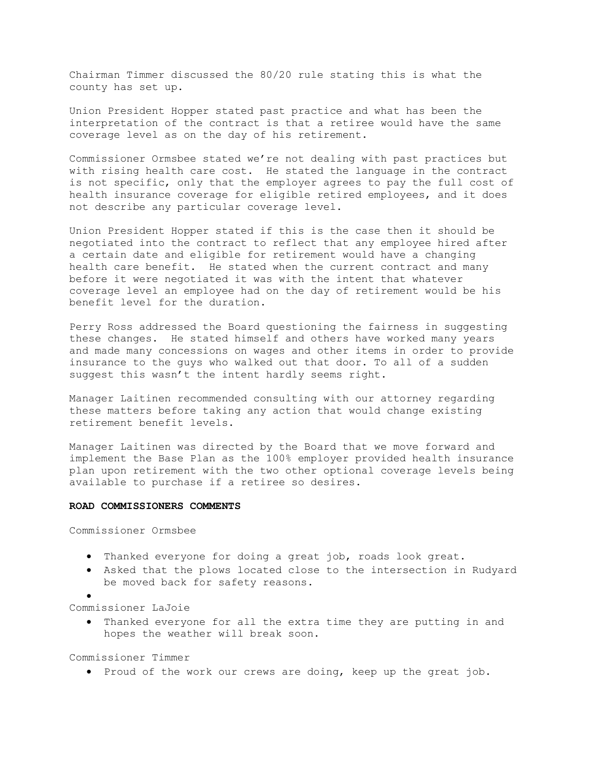Chairman Timmer discussed the 80/20 rule stating this is what the county has set up.

Union President Hopper stated past practice and what has been the interpretation of the contract is that a retiree would have the same coverage level as on the day of his retirement.

Commissioner Ormsbee stated we're not dealing with past practices but with rising health care cost. He stated the language in the contract is not specific, only that the employer agrees to pay the full cost of health insurance coverage for eligible retired employees, and it does not describe any particular coverage level.

Union President Hopper stated if this is the case then it should be negotiated into the contract to reflect that any employee hired after a certain date and eligible for retirement would have a changing health care benefit. He stated when the current contract and many before it were negotiated it was with the intent that whatever coverage level an employee had on the day of retirement would be his benefit level for the duration.

Perry Ross addressed the Board questioning the fairness in suggesting these changes. He stated himself and others have worked many years and made many concessions on wages and other items in order to provide insurance to the guys who walked out that door. To all of a sudden suggest this wasn't the intent hardly seems right.

Manager Laitinen recommended consulting with our attorney regarding these matters before taking any action that would change existing retirement benefit levels.

Manager Laitinen was directed by the Board that we move forward and implement the Base Plan as the 100% employer provided health insurance plan upon retirement with the two other optional coverage levels being available to purchase if a retiree so desires.

#### **ROAD COMMISSIONERS COMMENTS**

Commissioner Ormsbee

- · Thanked everyone for doing a great job, roads look great.
- · Asked that the plows located close to the intersection in Rudyard be moved back for safety reasons.
- ·

Commissioner LaJoie

· Thanked everyone for all the extra time they are putting in and hopes the weather will break soon.

Commissioner Timmer

· Proud of the work our crews are doing, keep up the great job.